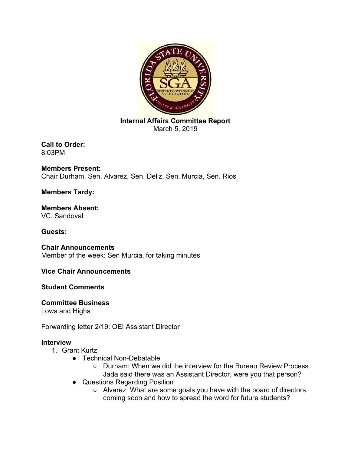

**Internal Affairs Committee Report**  March 5, 2019

**Call to Order:** 8:03PM

**Members Present:**  Chair Durham, Sen. Alvarez, Sen. Deliz, Sen. Murcia, Sen. Rios

**Members Tardy:** 

**Members Absent:** VC. Sandoval

**Guests:** 

**Chair Announcements** Member of the week: Sen Murcia, for taking minutes

**Vice Chair Announcements** 

**Student Comments** 

# **Committee Business**

Lows and Highs

Forwarding letter 2/19: OEI Assistant Director

# **Interview**

- 1. Grant Kurtz
	- Technical Non-Debatable
		- Durham: When we did the interview for the Bureau Review Process Jada said there was an Assistant Director, were you that person?
	- Questions Regarding Position
		- Alvarez: What are some goals you have with the board of directors coming soon and how to spread the word for future students?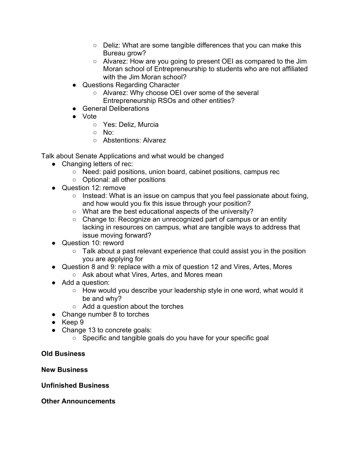- Deliz: What are some tangible differences that you can make this Bureau grow?
- Alvarez: How are you going to present OEI as compared to the Jim Moran school of Entrepreneurship to students who are not affiliated with the Jim Moran school?
- Questions Regarding Character
	- Alvarez: Why choose OEI over some of the several Entrepreneurship RSOs and other entities?
- General Deliberations
- Vote
	- Yes: Deliz, Murcia
	- No:
	- Abstentions: Alvarez

Talk about Senate Applications and what would be changed

- Changing letters of rec:
	- Need: paid positions, union board, cabinet positions, campus rec
	- Optional: all other positions
- Question 12: remove
	- o Instead: What is an issue on campus that you feel passionate about fixing, and how would you fix this issue through your position?
	- What are the best educational aspects of the university?
	- Change to: Recognize an unrecognized part of campus or an entity lacking in resources on campus, what are tangible ways to address that issue moving forward?
- Question 10: reword
	- Talk about a past relevant experience that could assist you in the position you are applying for
- Question 8 and 9: replace with a mix of question 12 and Vires, Artes, Mores
	- Ask about what Vires, Artes, and Mores mean
- Add a question:
	- How would you describe your leadership style in one word, what would it be and why?
	- Add a question about the torches
- Change number 8 to torches
- Keep 9
- Change 13 to concrete goals:
	- Specific and tangible goals do you have for your specific goal

## **Old Business**

## **New Business**

## **Unfinished Business**

## **Other Announcements**